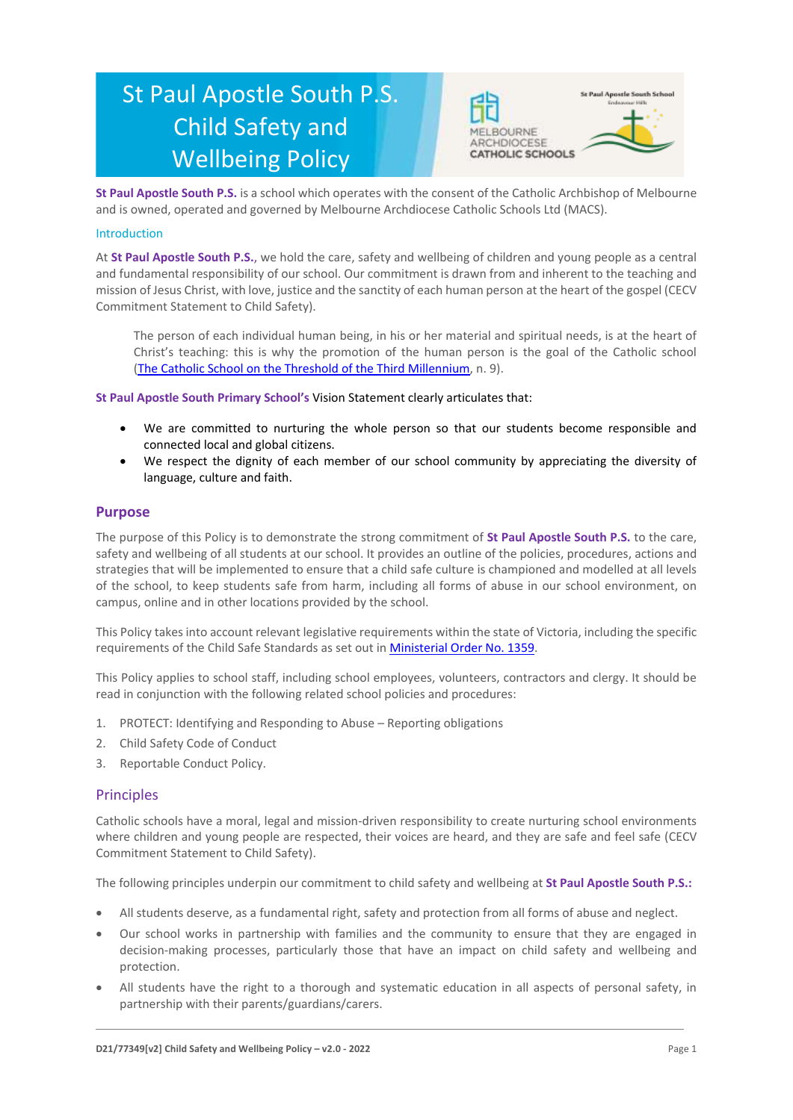# St Paul Apostle South P.S. Child Safety and Wellbeing Policy



**St Paul Apostle South P.S.** is a school which operates with the consent of the Catholic Archbishop of Melbourne and is owned, operated and governed by Melbourne Archdiocese Catholic Schools Ltd (MACS).

#### Introduction

At **St Paul Apostle South P.S.**, we hold the care, safety and wellbeing of children and young people as a central and fundamental responsibility of our school. Our commitment is drawn from and inherent to the teaching and mission of Jesus Christ, with love, justice and the sanctity of each human person at the heart of the gospel (CECV Commitment Statement to Child Safety).

The person of each individual human being, in his or her material and spiritual needs, is at the heart of Christ's teaching: this is why the promotion of the human person is the goal of the Catholic school [\(The Catholic School on the Threshold of the Third Millennium,](http://www.vatican.va/roman_curia/congregations/ccatheduc/documents/rc_con_ccatheduc_doc_27041998_school2000_en.html) n. 9).

**St Paul Apostle South Primary School's** Vision Statement clearly articulates that:

- We are committed to nurturing the whole person so that our students become responsible and connected local and global citizens.
- We respect the dignity of each member of our school community by appreciating the diversity of language, culture and faith.

#### **Purpose**

The purpose of this Policy is to demonstrate the strong commitment of **St Paul Apostle South P.S.** to the care, safety and wellbeing of all students at our school. It provides an outline of the policies, procedures, actions and strategies that will be implemented to ensure that a child safe culture is championed and modelled at all levels of the school, to keep students safe from harm, including all forms of abuse in our school environment, on campus, online and in other locations provided by the school.

This Policy takes into account relevant legislative requirements within the state of Victoria, including the specific requirements of the Child Safe Standards as set out i[n Ministerial Order No. 1359.](https://www.vrqa.vic.gov.au/Documents/MinOrder1359childsafe.pdf)

This Policy applies to school staff, including school employees, volunteers, contractors and clergy. It should be read in conjunction with the following related school policies and procedures:

- 1. PROTECT: Identifying and Responding to Abuse Reporting obligations
- 2. Child Safety Code of Conduct
- 3. Reportable Conduct Policy.

#### **Principles**

Catholic schools have a moral, legal and mission-driven responsibility to create nurturing school environments where children and young people are respected, their voices are heard, and they are safe and feel safe (CECV Commitment Statement to Child Safety).

The following principles underpin our commitment to child safety and wellbeing at **St Paul Apostle South P.S.:**

- All students deserve, as a fundamental right, safety and protection from all forms of abuse and neglect.
- Our school works in partnership with families and the community to ensure that they are engaged in decision-making processes, particularly those that have an impact on child safety and wellbeing and protection.
- All students have the right to a thorough and systematic education in all aspects of personal safety, in partnership with their parents/guardians/carers.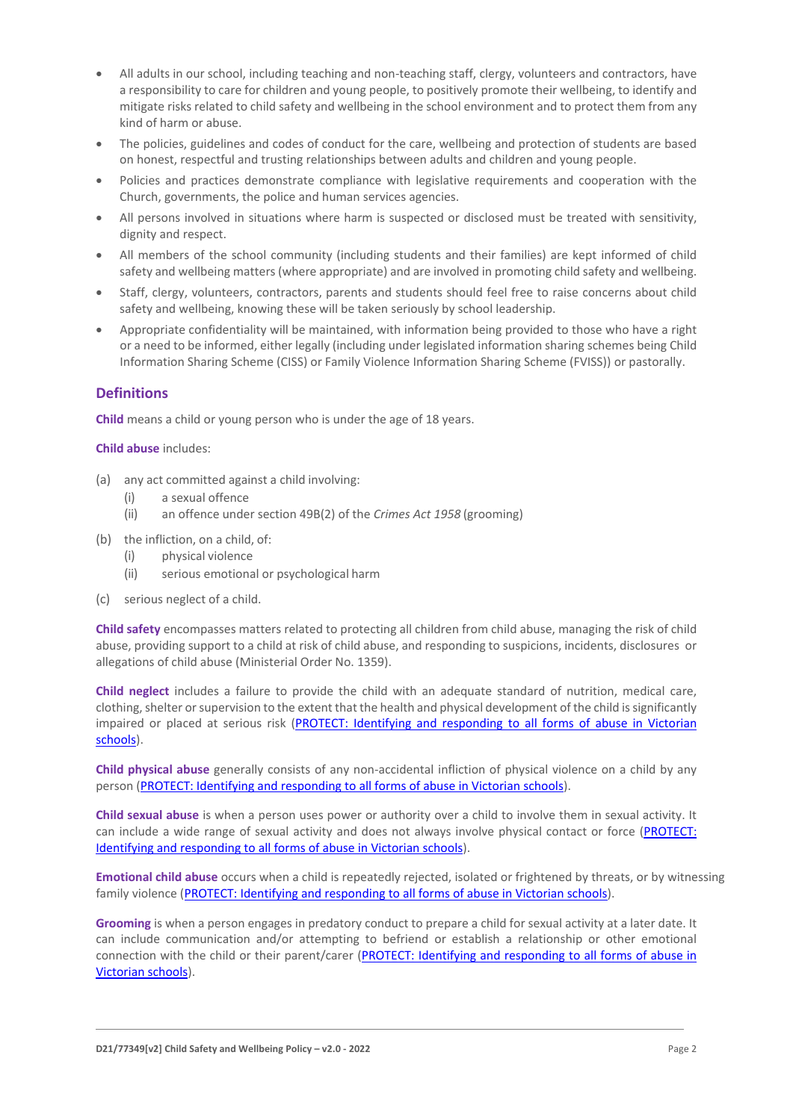- All adults in our school, including teaching and non-teaching staff, clergy, volunteers and contractors, have a responsibility to care for children and young people, to positively promote their wellbeing, to identify and mitigate risks related to child safety and wellbeing in the school environment and to protect them from any kind of harm or abuse.
- The policies, guidelines and codes of conduct for the care, wellbeing and protection of students are based on honest, respectful and trusting relationships between adults and children and young people.
- Policies and practices demonstrate compliance with legislative requirements and cooperation with the Church, governments, the police and human services agencies.
- All persons involved in situations where harm is suspected or disclosed must be treated with sensitivity, dignity and respect.
- All members of the school community (including students and their families) are kept informed of child safety and wellbeing matters (where appropriate) and are involved in promoting child safety and wellbeing.
- Staff, clergy, volunteers, contractors, parents and students should feel free to raise concerns about child safety and wellbeing, knowing these will be taken seriously by school leadership.
- Appropriate confidentiality will be maintained, with information being provided to those who have a right or a need to be informed, either legally (including under legislated information sharing schemes being Child Information Sharing Scheme (CISS) or Family Violence Information Sharing Scheme (FVISS)) or pastorally.

# **Definitions**

**Child** means a child or young person who is under the age of 18 years.

#### **Child abuse** includes:

- (a) any act committed against a child involving:
	- (i) a sexual offence
	- (ii) an offence under section 49B(2) of the *Crimes Act 1958* (grooming)
- (b) the infliction, on a child, of:
	- (i) physical violence
	- (ii) serious emotional or psychological harm
- (c) serious neglect of a child.

**Child safety** encompasses matters related to protecting all children from child abuse, managing the risk of child abuse, providing support to a child at risk of child abuse, and responding to suspicions, incidents, disclosures or allegations of child abuse (Ministerial Order No. 1359).

**Child neglect** includes a failure to provide the child with an adequate standard of nutrition, medical care, clothing, shelter or supervision to the extent that the health and physical development of the child is significantly impaired or placed at serious risk [\(PROTECT: Identifying and responding to all forms of abuse in Victorian](http://www.cecv.catholic.edu.au/getmedia/ebe135a4-d1b3-48a0-81fe-50d4fc451bcd/Identifying-and-Responding-to-All-Forms-of-Abuse.aspx#page%3D27)  [schools\)](http://www.cecv.catholic.edu.au/getmedia/ebe135a4-d1b3-48a0-81fe-50d4fc451bcd/Identifying-and-Responding-to-All-Forms-of-Abuse.aspx#page%3D27).

**Child physical abuse** generally consists of any non-accidental infliction of physical violence on a child by any person [\(PROTECT: Identifying and responding to all forms of abuse in Victorian schools\)](https://www.cecv.catholic.edu.au/getmedia/ebe135a4-d1b3-48a0-81fe-50d4fc451bcd/Identifying-and-Responding-to-All-Forms-of-Abuse.aspx#page%3D15).

**Child sexual abuse** is when a person uses power or authority over a child to involve them in sexual activity. It can include a wide range of sexual activity and does not always involve physical contact or force [\(PROTECT:](https://www.cecv.catholic.edu.au/getmedia/ebe135a4-d1b3-48a0-81fe-50d4fc451bcd/Identifying-and-Responding-to-All-Forms-of-Abuse.aspx#page%3D17)  [Identifying and responding to all forms of abuse in Victorian schools\)](https://www.cecv.catholic.edu.au/getmedia/ebe135a4-d1b3-48a0-81fe-50d4fc451bcd/Identifying-and-Responding-to-All-Forms-of-Abuse.aspx#page%3D17).

**Emotional child abuse** occurs when a child is repeatedly rejected, isolated or frightened by threats, or by witnessing family violence [\(PROTECT: Identifying and responding to all forms of abuse in Victorian schools\)](https://www.cecv.catholic.edu.au/getmedia/ebe135a4-d1b3-48a0-81fe-50d4fc451bcd/Identifying-and-Responding-to-All-Forms-of-Abuse.aspx#page%3D26).

**Grooming** is when a person engages in predatory conduct to prepare a child for sexual activity at a later date. It can include communication and/or attempting to befriend or establish a relationship or other emotional connection with the child or their parent/carer [\(PROTECT: Identifying and responding to all forms of abuse in](https://www.cecv.catholic.edu.au/getmedia/ebe135a4-d1b3-48a0-81fe-50d4fc451bcd/Identifying-and-Responding-to-All-Forms-of-Abuse.aspx#page%3D20)  [Victorian schools\)](https://www.cecv.catholic.edu.au/getmedia/ebe135a4-d1b3-48a0-81fe-50d4fc451bcd/Identifying-and-Responding-to-All-Forms-of-Abuse.aspx#page%3D20).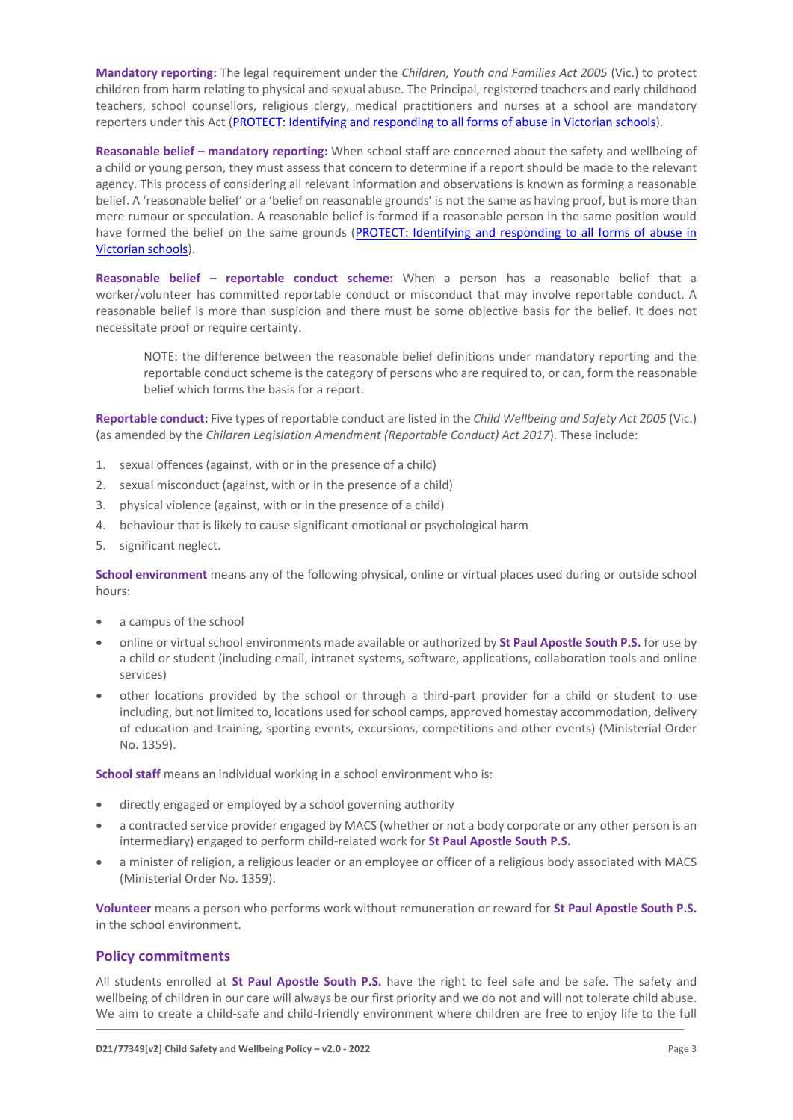**Mandatory reporting:** The legal requirement under the *Children, Youth and Families Act 2005* (Vic.) to protect children from harm relating to physical and sexual abuse. The Principal, registered teachers and early childhood teachers, school counsellors, religious clergy, medical practitioners and nurses at a school are mandatory reporters under this Act [\(PROTECT: Identifying and responding to all forms of abuse in Victorian schools\)](http://www.cecv.catholic.edu.au/getmedia/ebe135a4-d1b3-48a0-81fe-50d4fc451bcd/Identifying-and-Responding-to-All-Forms-of-Abuse.aspx#page%3D8).

**Reasonable belief – mandatory reporting:** When school staff are concerned about the safety and wellbeing of a child or young person, they must assess that concern to determine if a report should be made to the relevant agency. This process of considering all relevant information and observations is known as forming a reasonable belief. A 'reasonable belief' or a 'belief on reasonable grounds' is not the same as having proof, but is more than mere rumour or speculation. A reasonable belief is formed if a reasonable person in the same position would have formed the belief on the same grounds [\(PROTECT: Identifying and responding to all forms of abuse in](http://www.cecv.catholic.edu.au/getmedia/ebe135a4-d1b3-48a0-81fe-50d4fc451bcd/Identifying-and-Responding-to-All-Forms-of-Abuse.aspx#page%3D35)  [Victorian schools\)](http://www.cecv.catholic.edu.au/getmedia/ebe135a4-d1b3-48a0-81fe-50d4fc451bcd/Identifying-and-Responding-to-All-Forms-of-Abuse.aspx#page%3D35).

**Reasonable belief – reportable conduct scheme:** When a person has a reasonable belief that a worker/volunteer has committed reportable conduct or misconduct that may involve reportable conduct. A reasonable belief is more than suspicion and there must be some objective basis for the belief. It does not necessitate proof or require certainty.

NOTE: the difference between the reasonable belief definitions under mandatory reporting and the reportable conduct scheme is the category of persons who are required to, or can, form the reasonable belief which forms the basis for a report.

**Reportable conduct:** Five types of reportable conduct are listed in the *Child Wellbeing and Safety Act 2005* (Vic.) (as amended by the *Children Legislation Amendment (Reportable Conduct) Act 2017*). These include:

- 1. sexual offences (against, with or in the presence of a child)
- 2. sexual misconduct (against, with or in the presence of a child)
- 3. physical violence (against, with or in the presence of a child)
- 4. behaviour that is likely to cause significant emotional or psychological harm
- 5. significant neglect.

**School environment** means any of the following physical, online or virtual places used during or outside school hours:

- a campus of the school
- online or virtual school environments made available or authorized by **St Paul Apostle South P.S.** for use by a child or student (including email, intranet systems, software, applications, collaboration tools and online services)
- other locations provided by the school or through a third-part provider for a child or student to use including, but not limited to, locations used for school camps, approved homestay accommodation, delivery of education and training, sporting events, excursions, competitions and other events) (Ministerial Order No. 1359).

**School staff** means an individual working in a school environment who is:

- directly engaged or employed by a school governing authority
- a contracted service provider engaged by MACS (whether or not a body corporate or any other person is an intermediary) engaged to perform child-related work for **St Paul Apostle South P.S.**
- a minister of religion, a religious leader or an employee or officer of a religious body associated with MACS (Ministerial Order No. 1359).

**Volunteer** means a person who performs work without remuneration or reward for **St Paul Apostle South P.S.** in the school environment.

### **Policy commitments**

All students enrolled at **St Paul Apostle South P.S.** have the right to feel safe and be safe. The safety and wellbeing of children in our care will always be our first priority and we do not and will not tolerate child abuse. We aim to create a child-safe and child-friendly environment where children are free to enjoy life to the full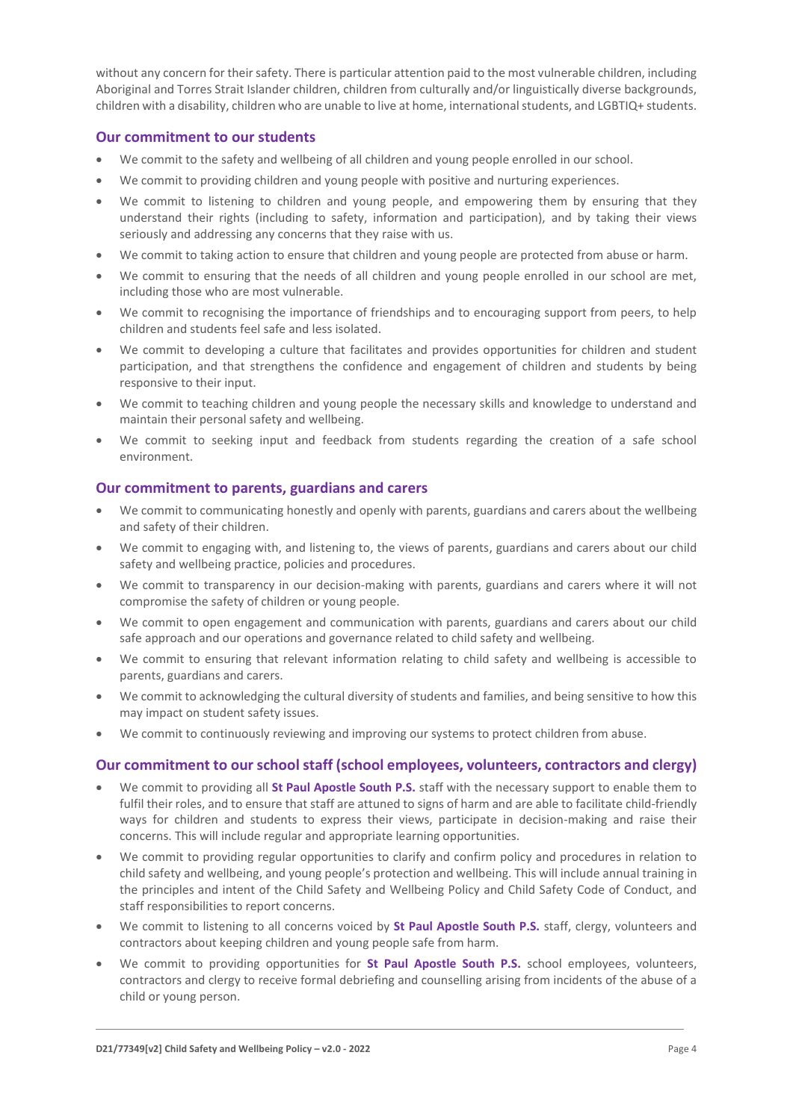without any concern for their safety. There is particular attention paid to the most vulnerable children, including Aboriginal and Torres Strait Islander children, children from culturally and/or linguistically diverse backgrounds, children with a disability, children who are unable to live at home, international students, and LGBTIQ+ students.

#### **Our commitment to our students**

- We commit to the safety and wellbeing of all children and young people enrolled in our school.
- We commit to providing children and young people with positive and nurturing experiences.
- We commit to listening to children and young people, and empowering them by ensuring that they understand their rights (including to safety, information and participation), and by taking their views seriously and addressing any concerns that they raise with us.
- We commit to taking action to ensure that children and young people are protected from abuse or harm.
- We commit to ensuring that the needs of all children and young people enrolled in our school are met, including those who are most vulnerable.
- We commit to recognising the importance of friendships and to encouraging support from peers, to help children and students feel safe and less isolated.
- We commit to developing a culture that facilitates and provides opportunities for children and student participation, and that strengthens the confidence and engagement of children and students by being responsive to their input.
- We commit to teaching children and young people the necessary skills and knowledge to understand and maintain their personal safety and wellbeing.
- We commit to seeking input and feedback from students regarding the creation of a safe school environment.

# **Our commitment to parents, guardians and carers**

- We commit to communicating honestly and openly with parents, guardians and carers about the wellbeing and safety of their children.
- We commit to engaging with, and listening to, the views of parents, guardians and carers about our child safety and wellbeing practice, policies and procedures.
- We commit to transparency in our decision-making with parents, guardians and carers where it will not compromise the safety of children or young people.
- We commit to open engagement and communication with parents, guardians and carers about our child safe approach and our operations and governance related to child safety and wellbeing.
- We commit to ensuring that relevant information relating to child safety and wellbeing is accessible to parents, guardians and carers.
- We commit to acknowledging the cultural diversity of students and families, and being sensitive to how this may impact on student safety issues.
- We commit to continuously reviewing and improving our systems to protect children from abuse.

# **Our commitment to our school staff (school employees, volunteers, contractors and clergy)**

- We commit to providing all **St Paul Apostle South P.S.** staff with the necessary support to enable them to fulfil their roles, and to ensure that staff are attuned to signs of harm and are able to facilitate child-friendly ways for children and students to express their views, participate in decision-making and raise their concerns. This will include regular and appropriate learning opportunities.
- We commit to providing regular opportunities to clarify and confirm policy and procedures in relation to child safety and wellbeing, and young people's protection and wellbeing. This will include annual training in the principles and intent of the Child Safety and Wellbeing Policy and Child Safety Code of Conduct, and staff responsibilities to report concerns.
- We commit to listening to all concerns voiced by **St Paul Apostle South P.S.** staff, clergy, volunteers and contractors about keeping children and young people safe from harm.
- We commit to providing opportunities for **St Paul Apostle South P.S.** school employees, volunteers, contractors and clergy to receive formal debriefing and counselling arising from incidents of the abuse of a child or young person.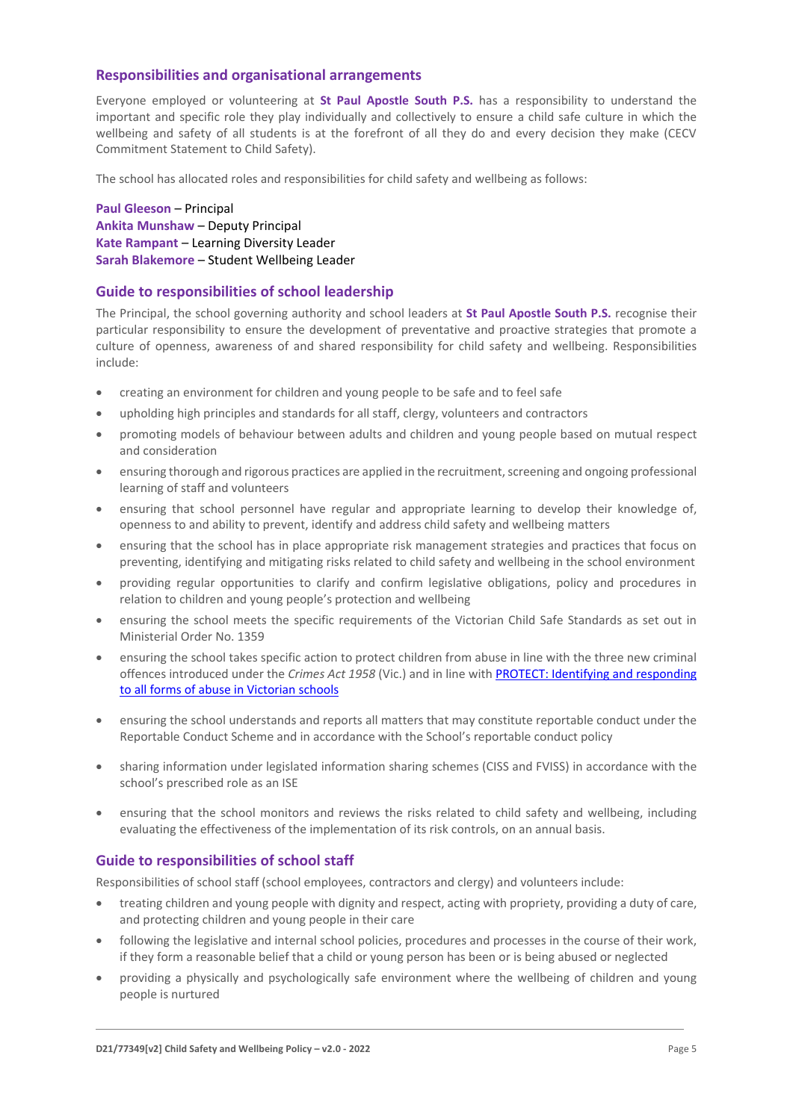# **Responsibilities and organisational arrangements**

Everyone employed or volunteering at **St Paul Apostle South P.S.** has a responsibility to understand the important and specific role they play individually and collectively to ensure a child safe culture in which the wellbeing and safety of all students is at the forefront of all they do and every decision they make (CECV Commitment Statement to Child Safety).

The school has allocated roles and responsibilities for child safety and wellbeing as follows:

**Paul Gleeson** – Principal **Ankita Munshaw** – Deputy Principal **Kate Rampant** – Learning Diversity Leader **Sarah Blakemore** – Student Wellbeing Leader

# **Guide to responsibilities of school leadership**

The Principal, the school governing authority and school leaders at **St Paul Apostle South P.S.** recognise their particular responsibility to ensure the development of preventative and proactive strategies that promote a culture of openness, awareness of and shared responsibility for child safety and wellbeing. Responsibilities include:

- creating an environment for children and young people to be safe and to feel safe
- upholding high principles and standards for all staff, clergy, volunteers and contractors
- promoting models of behaviour between adults and children and young people based on mutual respect and consideration
- ensuring thorough and rigorous practices are applied in the recruitment, screening and ongoing professional learning of staff and volunteers
- ensuring that school personnel have regular and appropriate learning to develop their knowledge of, openness to and ability to prevent, identify and address child safety and wellbeing matters
- ensuring that the school has in place appropriate risk management strategies and practices that focus on preventing, identifying and mitigating risks related to child safety and wellbeing in the school environment
- providing regular opportunities to clarify and confirm legislative obligations, policy and procedures in relation to children and young people's protection and wellbeing
- ensuring the school meets the specific requirements of the Victorian Child Safe Standards as set out in Ministerial Order No. 1359
- ensuring the school takes specific action to protect children from abuse in line with the three new criminal offences introduced under the *Crimes Act 1958* (Vic.) and in line with [PROTECT: Identifying and responding](http://www.cecv.catholic.edu.au/getmedia/ebe135a4-d1b3-48a0-81fe-50d4fc451bcd/Identifying-and-Responding-to-All-Forms-of-Abuse.aspx)  [to all forms of abuse in Victorian schools](http://www.cecv.catholic.edu.au/getmedia/ebe135a4-d1b3-48a0-81fe-50d4fc451bcd/Identifying-and-Responding-to-All-Forms-of-Abuse.aspx)
- ensuring the school understands and reports all matters that may constitute reportable conduct under the Reportable Conduct Scheme and in accordance with the School's reportable conduct policy
- sharing information under legislated information sharing schemes (CISS and FVISS) in accordance with the school's prescribed role as an ISE
- ensuring that the school monitors and reviews the risks related to child safety and wellbeing, including evaluating the effectiveness of the implementation of its risk controls, on an annual basis.

# **Guide to responsibilities of school staff**

Responsibilities of school staff (school employees, contractors and clergy) and volunteers include:

- treating children and young people with dignity and respect, acting with propriety, providing a duty of care, and protecting children and young people in their care
- following the legislative and internal school policies, procedures and processes in the course of their work, if they form a reasonable belief that a child or young person has been or is being abused or neglected
- providing a physically and psychologically safe environment where the wellbeing of children and young people is nurtured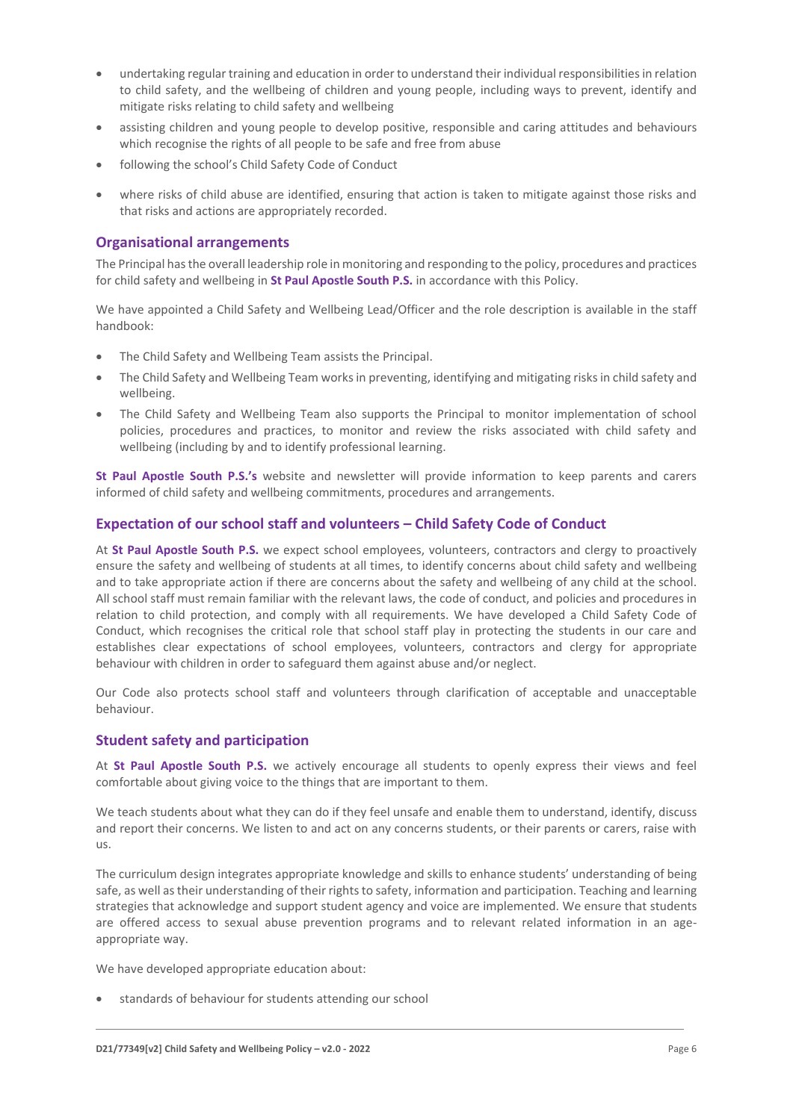- undertaking regular training and education in order to understand their individual responsibilities in relation to child safety, and the wellbeing of children and young people, including ways to prevent, identify and mitigate risks relating to child safety and wellbeing
- assisting children and young people to develop positive, responsible and caring attitudes and behaviours which recognise the rights of all people to be safe and free from abuse
- following the school's Child Safety Code of Conduct
- where risks of child abuse are identified, ensuring that action is taken to mitigate against those risks and that risks and actions are appropriately recorded.

# **Organisational arrangements**

The Principal has the overall leadership role in monitoring and responding to the policy, procedures and practices for child safety and wellbeing in **St Paul Apostle South P.S.** in accordance with this Policy.

We have appointed a Child Safety and Wellbeing Lead/Officer and the role description is available in the staff handbook:

- The Child Safety and Wellbeing Team assists the Principal.
- The Child Safety and Wellbeing Team works in preventing, identifying and mitigating risks in child safety and wellbeing.
- The Child Safety and Wellbeing Team also supports the Principal to monitor implementation of school policies, procedures and practices, to monitor and review the risks associated with child safety and wellbeing (including by and to identify professional learning.

**St Paul Apostle South P.S.'s** website and newsletter will provide information to keep parents and carers informed of child safety and wellbeing commitments, procedures and arrangements.

# **Expectation of our school staff and volunteers – Child Safety Code of Conduct**

At **St Paul Apostle South P.S.** we expect school employees, volunteers, contractors and clergy to proactively ensure the safety and wellbeing of students at all times, to identify concerns about child safety and wellbeing and to take appropriate action if there are concerns about the safety and wellbeing of any child at the school. All school staff must remain familiar with the relevant laws, the code of conduct, and policies and procedures in relation to child protection, and comply with all requirements. We have developed a Child Safety Code of Conduct, which recognises the critical role that school staff play in protecting the students in our care and establishes clear expectations of school employees, volunteers, contractors and clergy for appropriate behaviour with children in order to safeguard them against abuse and/or neglect.

Our Code also protects school staff and volunteers through clarification of acceptable and unacceptable behaviour.

# **Student safety and participation**

At **St Paul Apostle South P.S.** we actively encourage all students to openly express their views and feel comfortable about giving voice to the things that are important to them.

We teach students about what they can do if they feel unsafe and enable them to understand, identify, discuss and report their concerns. We listen to and act on any concerns students, or their parents or carers, raise with us.

The curriculum design integrates appropriate knowledge and skills to enhance students' understanding of being safe, as well as their understanding of their rights to safety, information and participation. Teaching and learning strategies that acknowledge and support student agency and voice are implemented. We ensure that students are offered access to sexual abuse prevention programs and to relevant related information in an ageappropriate way.

We have developed appropriate education about:

• standards of behaviour for students attending our school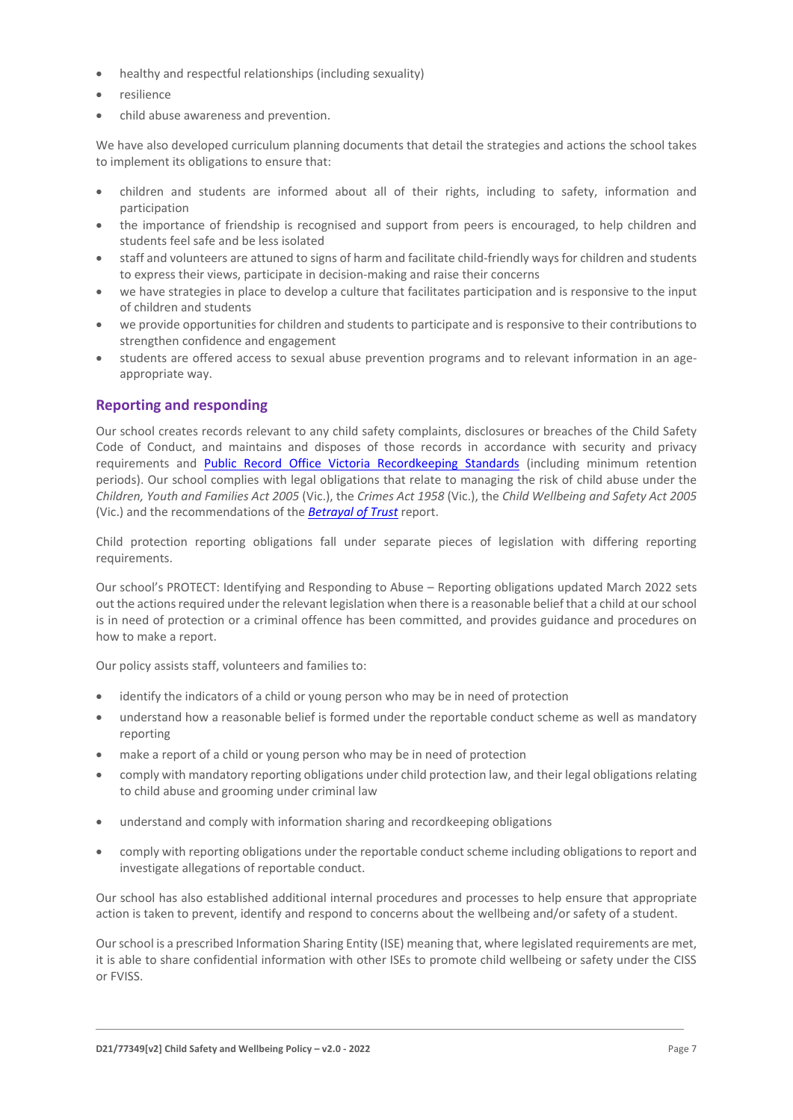- healthy and respectful relationships (including sexuality)
- resilience
- child abuse awareness and prevention.

We have also developed curriculum planning documents that detail the strategies and actions the school takes to implement its obligations to ensure that:

- children and students are informed about all of their rights, including to safety, information and participation
- the importance of friendship is recognised and support from peers is encouraged, to help children and students feel safe and be less isolated
- staff and volunteers are attuned to signs of harm and facilitate child-friendly ways for children and students to express their views, participate in decision-making and raise their concerns
- we have strategies in place to develop a culture that facilitates participation and is responsive to the input of children and students
- we provide opportunities for children and students to participate and is responsive to their contributions to strengthen confidence and engagement
- students are offered access to sexual abuse prevention programs and to relevant information in an ageappropriate way.

# **Reporting and responding**

Our school creates records relevant to any child safety complaints, disclosures or breaches of the Child Safety Code of Conduct, and maintains and disposes of those records in accordance with security and privacy requirements and [Public Record Office Victoria Recordkeeping Standards](https://prov.vic.gov.au/sites/default/files/files/documents/1906v1.0.pdf) (including minimum retention periods). Our school complies with legal obligations that relate to managing the risk of child abuse under the *Children, Youth and Families Act 2005* (Vic.), the *Crimes Act 1958* (Vic.), the *Child Wellbeing and Safety Act 2005* (Vic.) and the recommendations of the *[Betrayal of Trust](http://www.parliament.vic.gov.au/fcdc/article/1788)* report.

Child protection reporting obligations fall under separate pieces of legislation with differing reporting requirements.

Our school's PROTECT: Identifying and Responding to Abuse – Reporting obligations updated March 2022 sets out the actions required under the relevant legislation when there is a reasonable belief that a child at our school is in need of protection or a criminal offence has been committed, and provides guidance and procedures on how to make a report.

Our policy assists staff, volunteers and families to:

- identify the indicators of a child or young person who may be in need of protection
- understand how a reasonable belief is formed under the reportable conduct scheme as well as mandatory reporting
- make a report of a child or young person who may be in need of protection
- comply with mandatory reporting obligations under child protection law, and their legal obligations relating to child abuse and grooming under criminal law
- understand and comply with information sharing and recordkeeping obligations
- comply with reporting obligations under the reportable conduct scheme including obligations to report and investigate allegations of reportable conduct.

Our school has also established additional internal procedures and processes to help ensure that appropriate action is taken to prevent, identify and respond to concerns about the wellbeing and/or safety of a student.

Our school is a prescribed Information Sharing Entity (ISE) meaning that, where legislated requirements are met, it is able to share confidential information with other ISEs to promote child wellbeing or safety under the CISS or FVISS.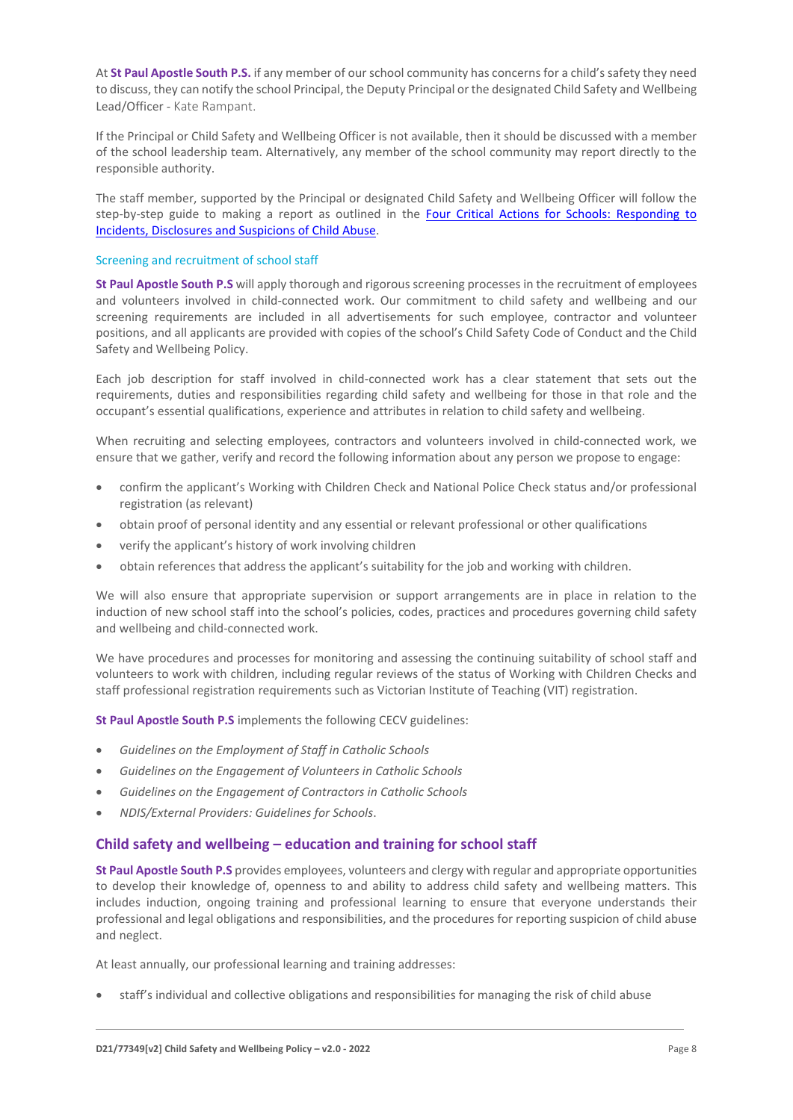At **St Paul Apostle South P.S.** if any member of our school community has concerns for a child's safety they need to discuss, they can notify the school Principal, the Deputy Principal or the designated Child Safety and Wellbeing Lead/Officer - Kate Rampant.

If the Principal or Child Safety and Wellbeing Officer is not available, then it should be discussed with a member of the school leadership team. Alternatively, any member of the school community may report directly to the responsible authority.

The staff member, supported by the Principal or designated Child Safety and Wellbeing Officer will follow the step-by-step guide to making a report as outlined in the Four Critical Actions for Schools: Responding to [Incidents, Disclosures and Suspicions of Child Abuse.](https://www.education.vic.gov.au/Documents/about/programs/health/protect/FourCriticalActions_ChildAbuse.pdf)

#### Screening and recruitment of school staff

**St Paul Apostle South P.S** will apply thorough and rigorous screening processes in the recruitment of employees and volunteers involved in child-connected work. Our commitment to child safety and wellbeing and our screening requirements are included in all advertisements for such employee, contractor and volunteer positions, and all applicants are provided with copies of the school's Child Safety Code of Conduct and the Child Safety and Wellbeing Policy.

Each job description for staff involved in child-connected work has a clear statement that sets out the requirements, duties and responsibilities regarding child safety and wellbeing for those in that role and the occupant's essential qualifications, experience and attributes in relation to child safety and wellbeing.

When recruiting and selecting employees, contractors and volunteers involved in child-connected work, we ensure that we gather, verify and record the following information about any person we propose to engage:

- confirm the applicant's Working with Children Check and National Police Check status and/or professional registration (as relevant)
- obtain proof of personal identity and any essential or relevant professional or other qualifications
- verify the applicant's history of work involving children
- obtain references that address the applicant's suitability for the job and working with children.

We will also ensure that appropriate supervision or support arrangements are in place in relation to the induction of new school staff into the school's policies, codes, practices and procedures governing child safety and wellbeing and child-connected work.

We have procedures and processes for monitoring and assessing the continuing suitability of school staff and volunteers to work with children, including regular reviews of the status of Working with Children Checks and staff professional registration requirements such as Victorian Institute of Teaching (VIT) registration.

**St Paul Apostle South P.S** implements the following CECV guidelines:

- *Guidelines on the Employment of Staff in Catholic Schools*
- *Guidelines on the Engagement of Volunteers in Catholic Schools*
- *Guidelines on the Engagement of Contractors in Catholic Schools*
- *NDIS/External Providers: Guidelines for Schools*.

# **Child safety and wellbeing – education and training for school staff**

**St Paul Apostle South P.S** provides employees, volunteers and clergy with regular and appropriate opportunities to develop their knowledge of, openness to and ability to address child safety and wellbeing matters. This includes induction, ongoing training and professional learning to ensure that everyone understands their professional and legal obligations and responsibilities, and the procedures for reporting suspicion of child abuse and neglect.

At least annually, our professional learning and training addresses:

• staff's individual and collective obligations and responsibilities for managing the risk of child abuse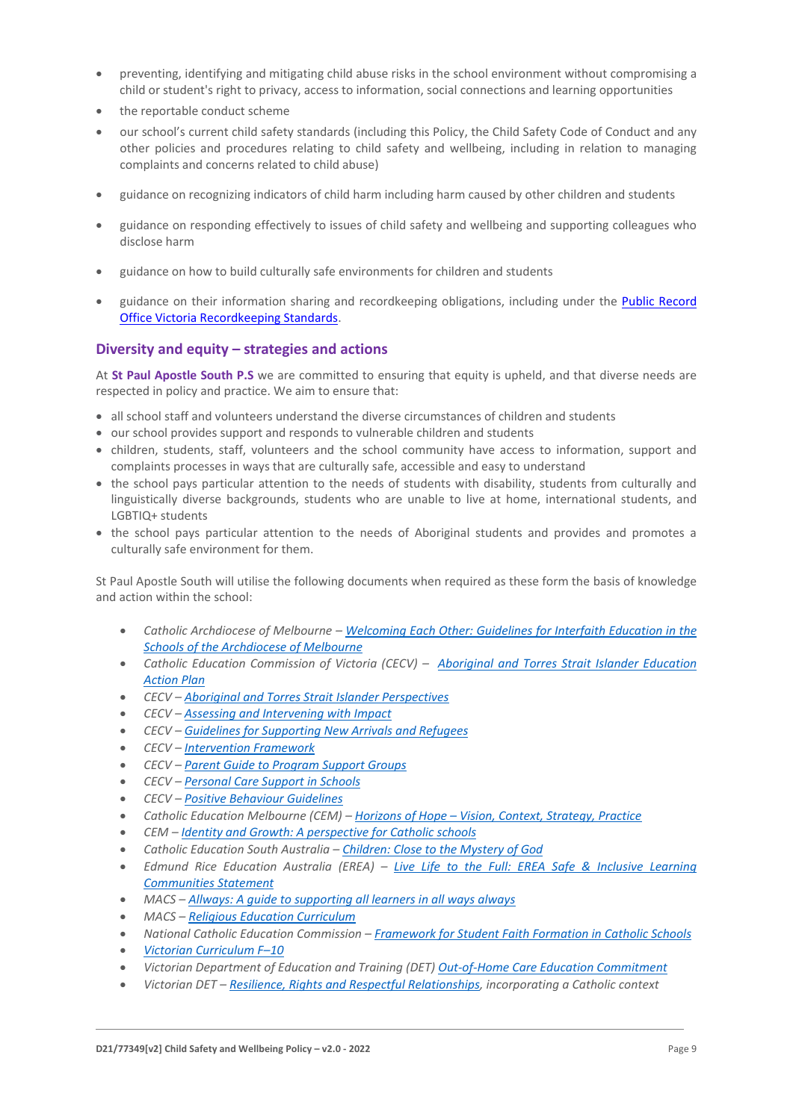- preventing, identifying and mitigating child abuse risks in the school environment without compromising a child or student's right to privacy, access to information, social connections and learning opportunities
- the reportable conduct scheme
- our school's current child safety standards (including this Policy, the Child Safety Code of Conduct and any other policies and procedures relating to child safety and wellbeing, including in relation to managing complaints and concerns related to child abuse)
- guidance on recognizing indicators of child harm including harm caused by other children and students
- guidance on responding effectively to issues of child safety and wellbeing and supporting colleagues who disclose harm
- guidance on how to build culturally safe environments for children and students
- guidance on their information sharing and recordkeeping obligations, including under the [Public Record](https://prov.vic.gov.au/sites/default/files/files/documents/1906v1.0.pdf)  [Office Victoria Recordkeeping Standards.](https://prov.vic.gov.au/sites/default/files/files/documents/1906v1.0.pdf)

# **Diversity and equity – strategies and actions**

At **St Paul Apostle South P.S** we are committed to ensuring that equity is upheld, and that diverse needs are respected in policy and practice. We aim to ensure that:

- all school staff and volunteers understand the diverse circumstances of children and students
- our school provides support and responds to vulnerable children and students
- children, students, staff, volunteers and the school community have access to information, support and complaints processes in ways that are culturally safe, accessible and easy to understand
- the school pays particular attention to the needs of students with disability, students from culturally and linguistically diverse backgrounds, students who are unable to live at home, international students, and LGBTIQ+ students
- the school pays particular attention to the needs of Aboriginal students and provides and promotes a culturally safe environment for them.

St Paul Apostle South will utilise the following documents when required as these form the basis of knowledge and action within the school:

- *Catholic Archdiocese of Melbourne – [Welcoming Each Other: Guidelines for Interfaith Education in the](http://www.cam1.org.au/eic/welcoming/index.html)  [Schools of the Archdiocese of Melbourne](http://www.cam1.org.au/eic/welcoming/index.html)*
- *Catholic Education Commission of Victoria (CECV) – [Aboriginal and Torres Strait Islander Education](https://www.cecv.catholic.edu.au/getmedia/bd494d6a-2d58-4f9b-94a2-85f3ab75e7ea/CECV-Aboriginal-and-Torres-Strait-Islander-Education-Action-Plan.aspx?ext=.pdf)  [Action Plan](https://www.cecv.catholic.edu.au/getmedia/bd494d6a-2d58-4f9b-94a2-85f3ab75e7ea/CECV-Aboriginal-and-Torres-Strait-Islander-Education-Action-Plan.aspx?ext=.pdf)*
- *CECV – [Aboriginal and Torres Strait Islander Perspectives](https://cevn.cecv.catholic.edu.au/Melb/Student-Support/Cultural-Diversity/ATSI-perspectives)*
- *CECV – [Assessing and Intervening with Impact](https://cevn.cecv.catholic.edu.au/Melb/Document-File/Students-Support/Practices/Assessing-and-intervening-with-impact)*
- *CECV – [Guidelines for Supporting New Arrivals and Refugees](https://www.cecv.catholic.edu.au/getmedia/b1a8935d-5f90-45e6-bb28-828e23c83366/CECV-Guidelines-for-New-Arrivals-and-Refugees-2020-2022.aspx?ext=.pdf)*
- *CECV – [Intervention Framework](https://www.cecv.catholic.edu.au/getmedia/757e80aa-1c1a-4510-8d8a-f1ca72a92adb/CECV-Intervention-Framework-2021-overview.aspx?ext=.pdf)*
- *CECV – [Parent Guide to Program Support Groups](https://www.cecv.catholic.edu.au/getmedia/8067c3e8-72f0-402c-9b78-60450b06c689/Parent-Guide-to-Program-Support-Groups.aspx?ext=.pdf)*
- *CECV – [Personal Care Support in](https://www.cecv.catholic.edu.au/getmedia/56a1892e-fc3f-45f8-b057-daa8dd462dfd/CECV-Personal-Care-Support-in-Schools.aspx?ext=.pdf) Schools*
- *CECV – [Positive Behaviour Guidelines](https://www.cecv.catholic.edu.au/getmedia/bc1d235d-9a98-4bb4-b3ac-84b50fa7c639/CECV-Positive-Behaviour-Guidelines_FINAL2.aspx?ext=.pdf)*
- *Catholic Education Melbourne (CEM) – Horizons of Hope – [Vision, Context, Strategy, Practice](https://cevn.cecv.catholic.edu.au/Melb/Curriculum/Horizons-of-Hope)*
- *CEM – [Identity and Growth: A perspective for Catholic schools](https://cevn.cecv.catholic.edu.au/Melb/MI/Identity-Growth)*
- *Catholic Education South Australia – [Children: Close to the Mystery of God](https://safeguardingchildren.acu.edu.au/-/media/feature/micrositesarticles/safeguardingchildren/children_close_to_mystery_of_god_-vjuly2015rev_20150825.pdf?la=en&hash=A5234C17459BAE41E54584FAA066B9A0)*
- *Edmund Rice Education Australia (EREA) – [Live Life to the Full: EREA Safe & Inclusive Learning](https://www.erea.edu.au/wp-content/uploads/2020/09/Safe_and_inclusive_Resource.pdf)  [Communities Statement](https://www.erea.edu.au/wp-content/uploads/2020/09/Safe_and_inclusive_Resource.pdf)*
- *MACS – [Allways: A guide to supporting all learners in all ways always](https://www.macs.vic.edu.au/CatholicEducationMelbourne/media/Documentation/Documents/Allways-A4-book-Guide-web.pdf)*
- *MACS – [Religious Education Curriculum](https://resource-macs.com/)*
- *National Catholic Education Commission – Framework for [Student Faith Formation in Catholic Schools](https://www.ncec.catholic.edu.au/doclink/student-faith-formation-in-catholic-schools-february-2022/eyJ0eXAiOiJKV1QiLCJhbGciOiJIUzI1NiJ9.eyJzdWIiOiJzdHVkZW50LWZhaXRoLWZvcm1hdGlvbi1pbi1jYXRob2xpYy1zY2hvb2xzLWZlYnJ1YXJ5LTIwMjIiLCJpYXQiOjE2NDQyNzM3NTYsImV4cCI6MTY0NDM2MDE1Nn0.jGLDyhU7PGuIaDiSI4Pv5ODo78qVCxDaI9e5o0m7CVg)*
- *[Victorian Curriculum F](https://victoriancurriculum.vcaa.vic.edu.au/)–10*
- *Victorian Department of Education and Training (DET) [Out-of-Home Care Education Commitment](https://www.cecv.catholic.edu.au/getmedia/11631bac-6208-4324-887e-0aca88189126/OoHC-Education-Commitment.aspx?ext=.pdf)*
- *Victorian DET – [Resilience, Rights and Respectful Relationships,](https://fuse.education.vic.gov.au/ResourcePackage/ByPin?pin=2JZX4R) incorporating a Catholic context*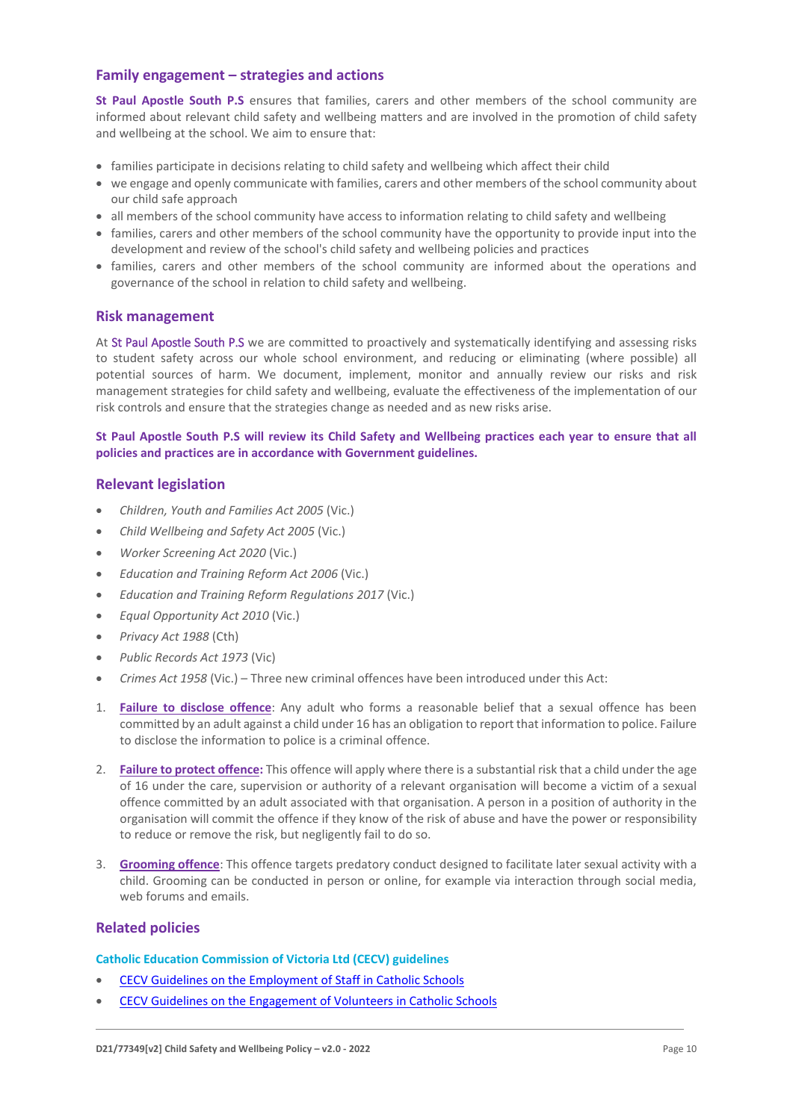# **Family engagement – strategies and actions**

**St Paul Apostle South P.S** ensures that families, carers and other members of the school community are informed about relevant child safety and wellbeing matters and are involved in the promotion of child safety and wellbeing at the school. We aim to ensure that:

- families participate in decisions relating to child safety and wellbeing which affect their child
- we engage and openly communicate with families, carers and other members of the school community about our child safe approach
- all members of the school community have access to information relating to child safety and wellbeing
- families, carers and other members of the school community have the opportunity to provide input into the development and review of the school's child safety and wellbeing policies and practices
- families, carers and other members of the school community are informed about the operations and governance of the school in relation to child safety and wellbeing.

# **Risk management**

At St Paul Apostle South P.S we are committed to proactively and systematically identifying and assessing risks to student safety across our whole school environment, and reducing or eliminating (where possible) all potential sources of harm. We document, implement, monitor and annually review our risks and risk management strategies for child safety and wellbeing, evaluate the effectiveness of the implementation of our risk controls and ensure that the strategies change as needed and as new risks arise.

# **St Paul Apostle South P.S will review its Child Safety and Wellbeing practices each year to ensure that all policies and practices are in accordance with Government guidelines.**

# **Relevant legislation**

- *Children, Youth and Families Act 2005* (Vic.)
- *Child Wellbeing and Safety Act 2005* (Vic.)
- *Worker Screening Act 2020* (Vic.)
- *Education and Training Reform Act 2006* (Vic.)
- *Education and Training Reform Regulations 2017* (Vic.)
- *Equal Opportunity Act 2010* (Vic.)
- *Privacy Act 1988* (Cth)
- *Public Records Act 1973* (Vic)
- *Crimes Act 1958* (Vic.) Three new criminal offences have been introduced under this Act:
- 1. **[Failure to disclose offence](https://www.justice.vic.gov.au/safer-communities/protecting-children-and-families/failure-to-disclose-offence#%3A~%3Atext%3DIn%202014%2C%20the%20law%20in%20Victoria%20was%20changed%2Coffended%20against%20a%20child%20under%2016%20in%20Victoria)**: Any adult who forms a reasonable belief that a sexual offence has been committed by an adult against a child under 16 has an obligation to report that information to police. Failure to disclose the information to police is a criminal offence.
- 2. **[Failure to protect offence:](https://www.justice.vic.gov.au/safer-communities/protecting-children-and-families/failure-to-protect-a-new-criminal-offence-to#%3A~%3Atext%3DFailure%20to%20protect%3A%20a%20new%20criminal%20offence%20to%2Cfrom%20sexual%20abuse%20and%20exposure%20to%20sexual%20offenders)** This offence will apply where there is a substantial risk that a child under the age of 16 under the care, supervision or authority of a relevant organisation will become a victim of a sexual offence committed by an adult associated with that organisation. A person in a position of authority in the organisation will commit the offence if they know of the risk of abuse and have the power or responsibility to reduce or remove the risk, but negligently fail to do so.
- 3. **[Grooming offence](https://www.justice.vic.gov.au/safer-communities/protecting-children-and-families/grooming-offence)**: This offence targets predatory conduct designed to facilitate later sexual activity with a child. Grooming can be conducted in person or online, for example via interaction through social media, web forums and emails.

# **Related policies**

#### **Catholic Education Commission of Victoria Ltd (CECV) guidelines**

- [CECV Guidelines on the Employment of Staff in Catholic Schools](https://www.cecv.catholic.edu.au/getmedia/0393d7fb-2fb9-4e48-a05e-56b703dd62eb/Employment-Guidelines.aspx)
- [CECV Guidelines on the Engagement of Volunteers in Catholic Schools](https://www.cecv.catholic.edu.au/Media-Files/IR/Policies-Guidelines/Volunteers/Guidelines-on-the-Engagement-of-Volunteers.aspx)